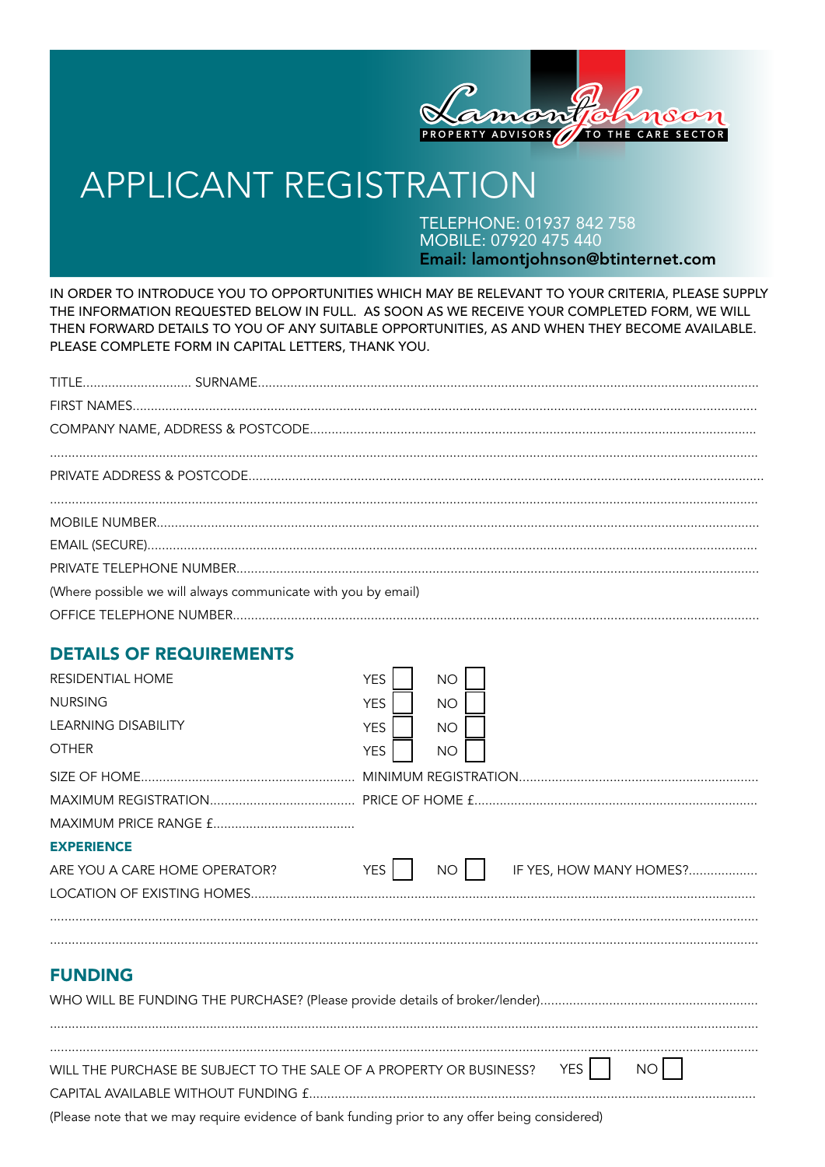

# **APPLICANT REGISTRATION**

TELEPHONE: 01937 842 758<br>MOBILE: 07920 475 440 Email: lamontjohnson@btinternet.com

IN ORDER TO INTRODUCE YOU TO OPPORTUNITIES WHICH MAY BE RELEVANT TO YOUR CRITERIA, PLEASE SUPPLY THE INFORMATION REQUESTED BELOW IN FULL. AS SOON AS WE RECEIVE YOUR COMPLETED FORM, WE WILL THEN FORWARD DETAILS TO YOU OF ANY SUITABLE OPPORTUNITIES, AS AND WHEN THEY BECOME AVAILABLE. PLEASE COMPLETE FORM IN CAPITAL LETTERS, THANK YOU.

| (Where possible we will always communicate with you by email) |  |
|---------------------------------------------------------------|--|
|                                                               |  |

## **DETAILS OF REQUIREMENTS**

| <b>RESIDENTIAL HOME</b><br><b>NURSING</b><br><b>LEARNING DISABILITY</b><br><b>OTHER</b>                    | <b>YES</b><br><b>YES</b><br><b>YES</b><br><b>YES</b> | <b>NO</b><br><b>NO</b><br><b>NO</b><br><b>NO</b> |  |                         |     |  |
|------------------------------------------------------------------------------------------------------------|------------------------------------------------------|--------------------------------------------------|--|-------------------------|-----|--|
| <b>EXPERIENCE</b><br>ARE YOU A CARE HOME OPERATOR?<br>LOCATION OF EXISTING HOMES                           | <b>YES</b>                                           | NO                                               |  | IF YES, HOW MANY HOMES? |     |  |
| <b>FUNDING</b>                                                                                             |                                                      |                                                  |  |                         |     |  |
| WILL THE PURCHASE BE SUBJECT TO THE SALE OF A PROPERTY OR BUSINESS?<br>CAPITAL AVAILABLE WITHOUT FUNDING £ |                                                      |                                                  |  | YES                     | NO. |  |

(Please note that we may require evidence of bank funding prior to any offer being considered)